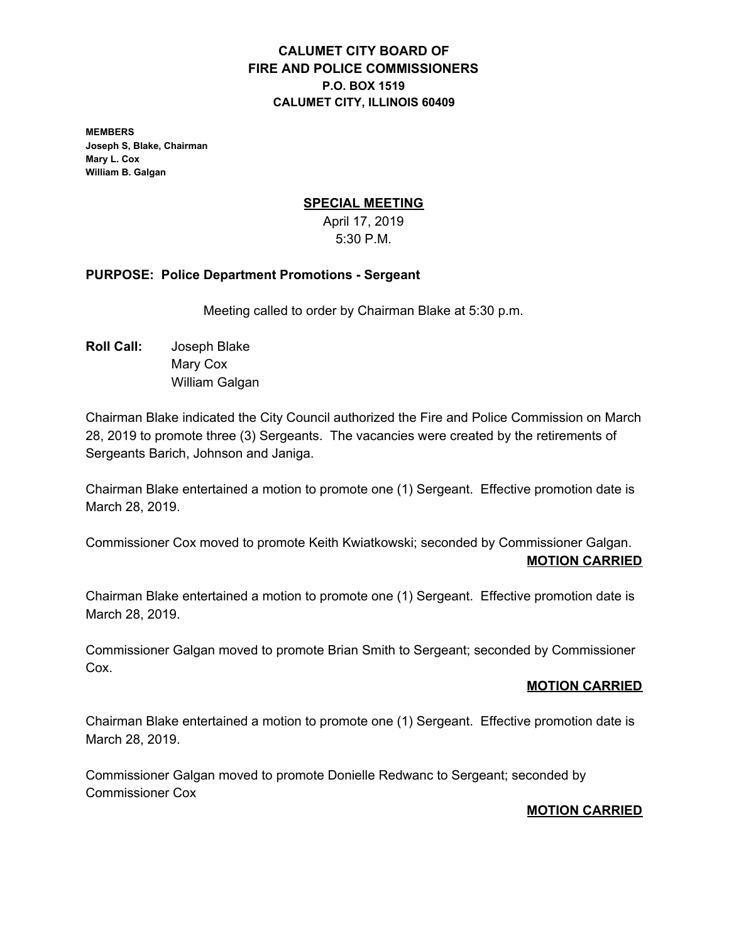## **CALUMET CITY BOARD OF FIRE AND POLICE COMMISSIONERS P.O. BOX 1519 CALUMET CITY, ILLINOIS 60409**

**MEMBERS Joseph S, Blake, Chairman Mary L. Cox William B. Galgan**

### **SPECIAL MEETING**

April 17, 2019 5:30 P.M.

#### **PURPOSE: Police Department Promotions - Sergeant**

Meeting called to order by Chairman Blake at 5:30 p.m.

**Roll Call:** Joseph Blake Mary Cox William Galgan

Chairman Blake indicated the City Council authorized the Fire and Police Commission on March 28, 2019 to promote three (3) Sergeants. The vacancies were created by the retirements of Sergeants Barich, Johnson and Janiga.

Chairman Blake entertained a motion to promote one (1) Sergeant. Effective promotion date is March 28, 2019.

Commissioner Cox moved to promote Keith Kwiatkowski; seconded by Commissioner Galgan. **MOTION CARRIED**

Chairman Blake entertained a motion to promote one (1) Sergeant. Effective promotion date is March 28, 2019.

Commissioner Galgan moved to promote Brian Smith to Sergeant; seconded by Commissioner Cox.

#### **MOTION CARRIED**

Chairman Blake entertained a motion to promote one (1) Sergeant. Effective promotion date is March 28, 2019.

Commissioner Galgan moved to promote Donielle Redwanc to Sergeant; seconded by Commissioner Cox

#### **MOTION CARRIED**